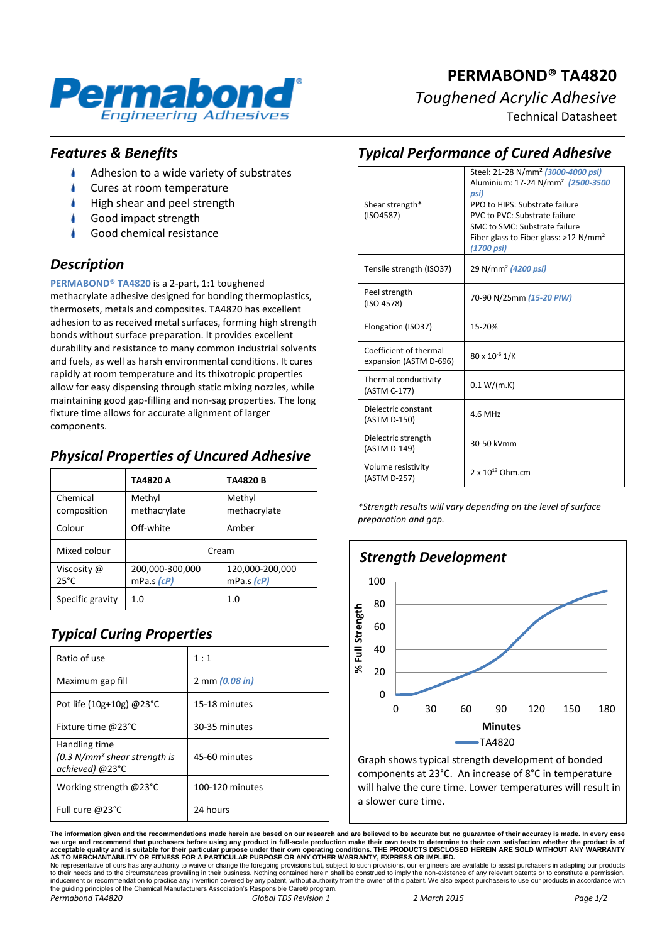

# **PERMABOND® TA4820** *Toughened Acrylic Adhesive*

Technical Datasheet

#### *Features & Benefits*

- Adhesion to a wide variety of substrates
- Cures at room temperature
- High shear and peel strength
- Good impact strength
- Good chemical resistance

## *Description*

**PERMABOND® TA4820** is a 2-part, 1:1 toughened methacrylate adhesive designed for bonding thermoplastics, thermosets, metals and composites. TA4820 has excellent adhesion to as received metal surfaces, forming high strength bonds without surface preparation. It provides excellent durability and resistance to many common industrial solvents and fuels, as well as harsh environmental conditions. It cures rapidly at room temperature and its thixotropic properties allow for easy dispensing through static mixing nozzles, while maintaining good gap-filling and non-sag properties. The long fixture time allows for accurate alignment of larger components.

## *Physical Properties of Uncured Adhesive*

|                               | TA4820 A                      | <b>TA4820B</b>                |
|-------------------------------|-------------------------------|-------------------------------|
| Chemical<br>composition       | Methyl<br>methacrylate        | Methyl<br>methacrylate        |
| Colour                        | Off-white                     | Amber                         |
| Mixed colour                  | Cream                         |                               |
| Viscosity @<br>$25^{\circ}$ C | 200,000-300,000<br>mPa.s (cP) | 120,000-200,000<br>mPa.s (cP) |
| Specific gravity              | 1.0                           | 1.0                           |

# *Typical Curing Properties*

| Ratio of use                                                       | 1:1             |
|--------------------------------------------------------------------|-----------------|
| Maximum gap fill                                                   | 2 mm (0.08 in)  |
| Pot life (10g+10g) $@23$ °C                                        | 15-18 minutes   |
| Fixture time @23°C                                                 | 30-35 minutes   |
| Handling time<br>$(0.3 N/mm2 shear strength is$<br>achieved) @23°C | 45-60 minutes   |
| Working strength $@23^{\circ}C$                                    | 100-120 minutes |
| Full cure $@23°C$                                                  | 24 hours        |

#### *Typical Performance of Cured Adhesive*

| Shear strength*<br>(ISO4587)                     | Steel: 21-28 N/mm <sup>2</sup> (3000-4000 psi)<br>Aluminium: 17-24 N/mm <sup>2</sup> (2500-3500<br>psi)<br>PPO to HIPS: Substrate failure<br>PVC to PVC: Substrate failure<br>SMC to SMC: Substrate failure<br>Fiber glass to Fiber glass: $>12$ N/mm <sup>2</sup><br>(1700 psi) |
|--------------------------------------------------|----------------------------------------------------------------------------------------------------------------------------------------------------------------------------------------------------------------------------------------------------------------------------------|
| Tensile strength (ISO37)                         | 29 N/mm <sup>2</sup> (4200 psi)                                                                                                                                                                                                                                                  |
| Peel strength<br>(ISO 4578)                      | 70-90 N/25mm (15-20 PIW)                                                                                                                                                                                                                                                         |
| Elongation (ISO37)                               | 15-20%                                                                                                                                                                                                                                                                           |
| Coefficient of thermal<br>expansion (ASTM D-696) | $80 \times 10^{-6}$ 1/K                                                                                                                                                                                                                                                          |
| Thermal conductivity<br>(ASTM C-177)             | 0.1 W/(m.K)                                                                                                                                                                                                                                                                      |
| Dielectric constant<br>(ASTM D-150)              | 4.6 MHz                                                                                                                                                                                                                                                                          |
| Dielectric strength<br>(ASTM D-149)              | 30-50 kVmm                                                                                                                                                                                                                                                                       |
| Volume resistivity<br>(ASTM D-257)               | $2 \times 10^{13}$ Ohm.cm                                                                                                                                                                                                                                                        |

*\*Strength results will vary depending on the level of surface preparation and gap.*



Graph shows typical strength development of bonded components at 23°C. An increase of 8°C in temperature will halve the cure time. Lower temperatures will result in a slower cure time.

**The information given and the recommendations made herein are based on our research and are believed to be accurate but no guarantee of their accuracy is made. In every case**  we urge and recommend that purchasers before using any product in full-scale production make their own tests to determine to their own satisfaction whether the product is of<br>acceptable quality and is suitable for their par

to their needs and to the circumstances prevailing in their business. Nothing contained herein shall be construed to imply the non-existence of any relevant patents or to constitute a permission inducement or recommendation to practice any invention covered by any patent, without authority from the owner of this patent. We also expect purchasers to use our products in accordance with<br>the guiding principles of the *Permabond TA4820 Global TDS Revision 1 2 March 2015 Page 1/2*